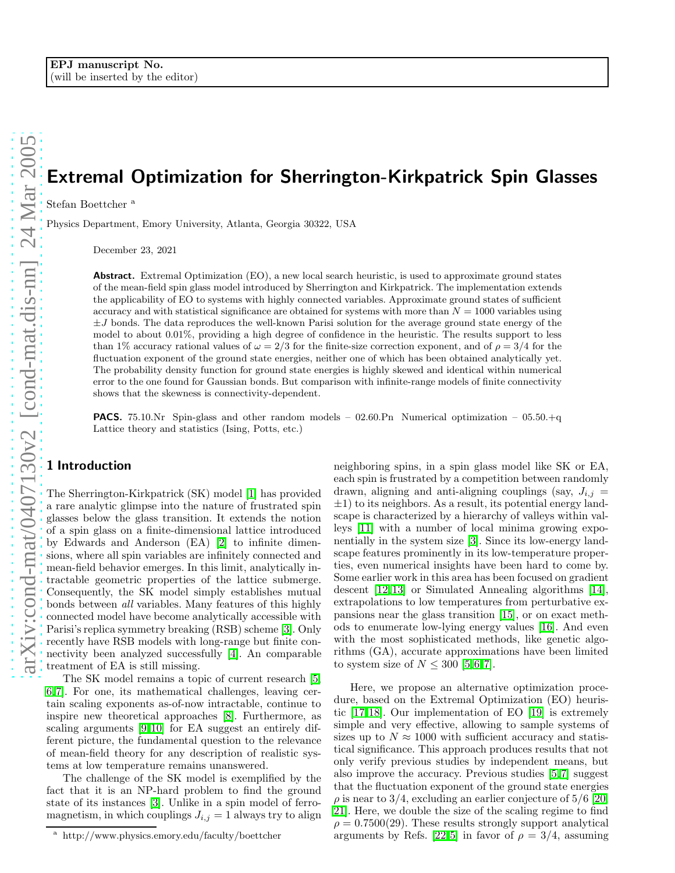# Extremal Optimization for Sherrington-Kirkpatrick Spin Glasses

Stefan Boettcher<sup>a</sup>

Physics Department, Emory University, Atlanta, Georgia 30322, USA

December 23, 2021

Abstract. Extremal Optimization (EO), a new local search heuristic, is used to approximate ground states of the mean-field spin glass model introduced by Sherrington and Kirkpatrick. The implementation extends the applicability of EO to systems with highly connected variables. Approximate ground states of sufficient accuracy and with statistical significance are obtained for systems with more than  $N = 1000$  variables using  $\pm J$  bonds. The data reproduces the well-known Parisi solution for the average ground state energy of the model to about 0.01%, providing a high degree of confidence in the heuristic. The results support to less than 1% accuracy rational values of  $\omega = 2/3$  for the finite-size correction exponent, and of  $\rho = 3/4$  for the fluctuation exponent of the ground state energies, neither one of which has been obtained analytically yet. The probability density function for ground state energies is highly skewed and identical within numerical error to the one found for Gaussian bonds. But comparison with infinite-range models of finite connectivity shows that the skewness is connectivity-dependent.

**PACS.** 75.10.Nr Spin-glass and other random models – 02.60.Pn Numerical optimization – 05.50. $+q$ Lattice theory and statistics (Ising, Potts, etc.)

## 1 Introduction

The Sherrington-Kirkpatrick (SK) model [\[1\]](#page-3-0) has provided a rare analytic glimpse into the nature of frustrated spin glasses below the glass transition. It extends the notion of a spin glass on a finite-dimensional lattice introduced by Edwards and Anderson (EA) [\[2\]](#page-3-1) to infinite dimensions, where all spin variables are infinitely connected and mean-field behavior emerges. In this limit, analytically intractable geometric properties of the lattice submerge. Consequently, the SK model simply establishes mutual bonds between all variables. Many features of this highly connected model have become analytically accessible with Parisi's replica symmetry breaking (RSB) scheme [\[3\]](#page-3-2). Only recently have RSB models with long-range but finite connectivity been analyzed successfully [\[4\]](#page-3-3). An comparable treatment of EA is still missing.

The SK model remains a topic of current research [\[5,](#page-4-0) [6,](#page-4-1)[7\]](#page-4-2). For one, its mathematical challenges, leaving certain scaling exponents as-of-now intractable, continue to inspire new theoretical approaches [\[8\]](#page-4-3). Furthermore, as scaling arguments [\[9,](#page-4-4)[10\]](#page-4-5) for EA suggest an entirely different picture, the fundamental question to the relevance of mean-field theory for any description of realistic systems at low temperature remains unanswered.

The challenge of the SK model is exemplified by the fact that it is an NP-hard problem to find the ground state of its instances [\[3\]](#page-3-2). Unlike in a spin model of ferromagnetism, in which couplings  $J_{i,j} = 1$  always try to align neighboring spins, in a spin glass model like SK or EA, each spin is frustrated by a competition between randomly drawn, aligning and anti-aligning couplings (say,  $J_{i,j}$ )  $\pm$ 1) to its neighbors. As a result, its potential energy landscape is characterized by a hierarchy of valleys within valleys [\[11\]](#page-4-6) with a number of local minima growing exponentially in the system size [\[3\]](#page-3-2). Since its low-energy landscape features prominently in its low-temperature properties, even numerical insights have been hard to come by. Some earlier work in this area has been focused on gradient descent [\[12,](#page-4-7)[13\]](#page-4-8) or Simulated Annealing algorithms [\[14\]](#page-4-9), extrapolations to low temperatures from perturbative expansions near the glass transition [\[15\]](#page-4-10), or on exact methods to enumerate low-lying energy values [\[16\]](#page-4-11). And even with the most sophisticated methods, like genetic algorithms (GA), accurate approximations have been limited to system size of  $N \leq 300$  [\[5,](#page-4-0)[6,](#page-4-1)[7\]](#page-4-2).

Here, we propose an alternative optimization procedure, based on the Extremal Optimization (EO) heuristic [\[17,](#page-4-12)[18\]](#page-4-13). Our implementation of EO [\[19\]](#page-4-14) is extremely simple and very effective, allowing to sample systems of sizes up to  $N \approx 1000$  with sufficient accuracy and statistical significance. This approach produces results that not only verify previous studies by independent means, but also improve the accuracy. Previous studies [\[5,](#page-4-0)[7\]](#page-4-2) suggest that the fluctuation exponent of the ground state energies  $\rho$  is near to 3/4, excluding an earlier conjecture of 5/6 [\[20,](#page-4-15) [21\]](#page-4-16). Here, we double the size of the scaling regime to find  $\rho = 0.7500(29)$ . These results strongly support analytical arguments by Refs. [\[22,](#page-4-17)[5\]](#page-4-0) in favor of  $\rho = 3/4$ , assuming

<sup>a</sup> http://www.physics.emory.edu/faculty/boettcher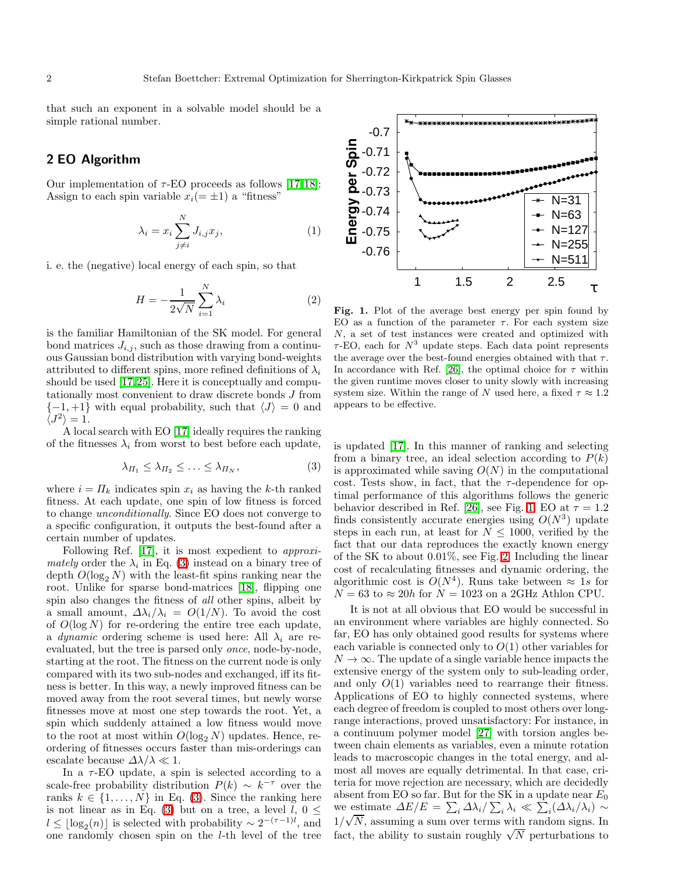that such an exponent in a solvable model should be a simple rational number.

### <span id="page-1-2"></span>2 EO Algorithm

Our implementation of  $\tau$ -EO proceeds as follows [\[17,](#page-4-12)[18\]](#page-4-13): Assign to each spin variable  $x_i(=\pm 1)$  a "fitness"

$$
\lambda_i = x_i \sum_{j \neq i}^{N} J_{i,j} x_j,
$$
\n(1)

<span id="page-1-3"></span>i. e. the (negative) local energy of each spin, so that

$$
H = -\frac{1}{2\sqrt{N}} \sum_{i=1}^{N} \lambda_i
$$
 (2)

is the familiar Hamiltonian of the SK model. For general bond matrices  $J_{i,j}$ , such as those drawing from a continuous Gaussian bond distribution with varying bond-weights attributed to different spins, more refined definitions of  $\lambda_i$ should be used [\[17,](#page-4-12)[25\]](#page-4-18). Here it is conceptually and computationally most convenient to draw discrete bonds J from  ${-1, +1}$  with equal probability, such that  $\langle J \rangle = 0$  and  $\langle J^2 \rangle = 1.$ 

A local search with EO [\[17\]](#page-4-12) ideally requires the ranking of the fitnesses  $\lambda_i$  from worst to best before each update,

$$
\lambda_{\Pi_1} \leq \lambda_{\Pi_2} \leq \ldots \leq \lambda_{\Pi_N},\tag{3}
$$

<span id="page-1-0"></span>where  $i = \Pi_k$  indicates spin  $x_i$  as having the k-th ranked fitness. At each update, one spin of low fitness is forced to change unconditionally. Since EO does not converge to a specific configuration, it outputs the best-found after a certain number of updates.

Following Ref. [\[17\]](#page-4-12), it is most expedient to approximately order the  $\lambda_i$  in Eq. [\(3\)](#page-1-0) instead on a binary tree of depth  $O(\log_2 N)$  with the least-fit spins ranking near the root. Unlike for sparse bond-matrices [\[18\]](#page-4-13), flipping one spin also changes the fitness of all other spins, albeit by a small amount,  $\Delta \lambda_i / \lambda_i = O(1/N)$ . To avoid the cost of  $O(\log N)$  for re-ordering the entire tree each update, a dynamic ordering scheme is used here: All  $\lambda_i$  are reevaluated, but the tree is parsed only once, node-by-node, starting at the root. The fitness on the current node is only compared with its two sub-nodes and exchanged, iff its fitness is better. In this way, a newly improved fitness can be moved away from the root several times, but newly worse fitnesses move at most one step towards the root. Yet, a spin which suddenly attained a low fitness would move to the root at most within  $O(\log_2 N)$  updates. Hence, reordering of fitnesses occurs faster than mis-orderings can escalate because  $\Delta\lambda/\lambda \ll 1$ .

In a  $\tau$ -EO update, a spin is selected according to a scale-free probability distribution  $P(k) \sim k^{-\tau}$  over the ranks  $k \in \{1, \ldots, N\}$  in Eq. [\(3\)](#page-1-0). Since the ranking here is not linear as in Eq. [\(3\)](#page-1-0) but on a tree, a level  $l, 0 \leq$  $l \leq \lfloor \log_2(n) \rfloor$  is selected with probability ~  $2^{-(\tau-1)l}$ , and one randomly chosen spin on the l-th level of the tree

<span id="page-1-1"></span>Fig. 1. Plot of the average best energy per spin found by EO as a function of the parameter  $\tau$ . For each system size N, a set of test instances were created and optimized with  $\tau$ -EO, each for  $N^3$  update steps. Each data point represents the average over the best-found energies obtained with that  $\tau$ . In accordance with Ref. [\[26\]](#page-4-19), the optimal choice for  $\tau$  within the given runtime moves closer to unity slowly with increasing system size. Within the range of N used here, a fixed  $\tau \approx 1.2$ appears to be effective.

is updated [\[17\]](#page-4-12). In this manner of ranking and selecting from a binary tree, an ideal selection according to  $P(k)$ is approximated while saving  $O(N)$  in the computational cost. Tests show, in fact, that the  $\tau$ -dependence for optimal performance of this algorithms follows the generic behavior described in Ref. [\[26\]](#page-4-19), see Fig. [1.](#page-1-1) EO at  $\tau = 1.2$ finds consistently accurate energies using  $O(N^3)$  update steps in each run, at least for  $N \leq 1000$ , verified by the fact that our data reproduces the exactly known energy of the SK to about 0.01%, see Fig. [2.](#page-2-0) Including the linear cost of recalculating fitnesses and dynamic ordering, the algorithmic cost is  $O(N^4)$ . Runs take between  $\approx 1s$  for  $N = 63$  to  $\approx 20h$  for  $N = 1023$  on a 2GHz Athlon CPU.

It is not at all obvious that EO would be successful in an environment where variables are highly connected. So far, EO has only obtained good results for systems where each variable is connected only to  $O(1)$  other variables for  $N \to \infty$ . The update of a single variable hence impacts the extensive energy of the system only to sub-leading order, and only  $O(1)$  variables need to rearrange their fitness. Applications of EO to highly connected systems, where each degree of freedom is coupled to most others over longrange interactions, proved unsatisfactory: For instance, in a continuum polymer model [\[27\]](#page-4-20) with torsion angles between chain elements as variables, even a minute rotation leads to macroscopic changes in the total energy, and almost all moves are equally detrimental. In that case, criteria for move rejection are necessary, which are decidedly absent from EO so far. But for the SK in a update near  $\mathcal{E}_0$ we estimate  $\Delta E/E = \sum_i \Delta \lambda_i / \sum_i \lambda_i \ll \sum_i (\Delta \lambda_i / \lambda_i) \sim$  $1/\sqrt{N}$ , assuming a sum over terms with random signs. In fact, the ability to sustain roughly  $\sqrt{N}$  perturbations to

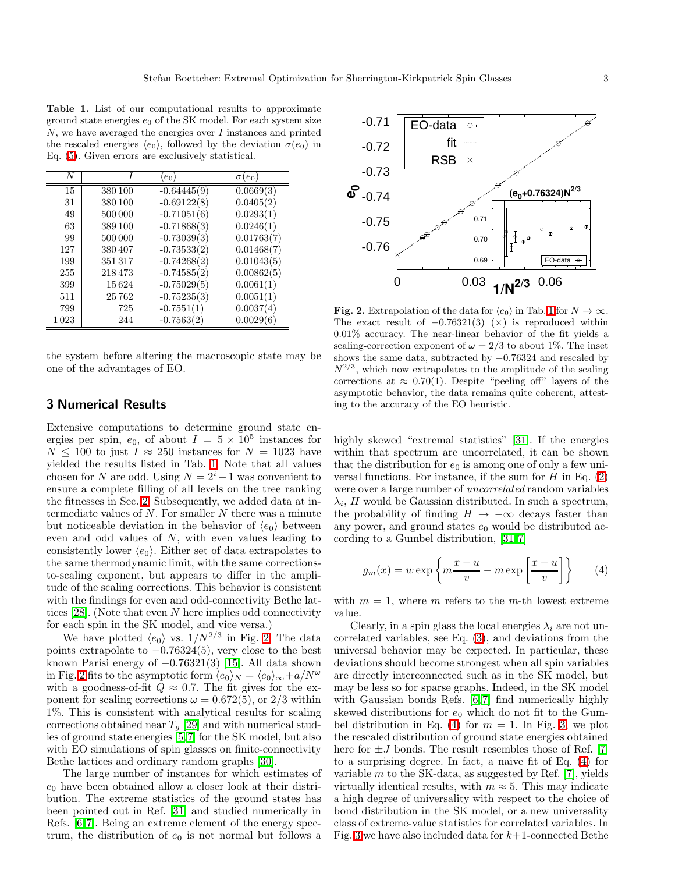<span id="page-2-1"></span>Table 1. List of our computational results to approximate ground state energies  $e_0$  of the SK model. For each system size  $N$ , we have averaged the energies over  $I$  instances and printed the rescaled energies  $\langle e_0 \rangle$ , followed by the deviation  $\sigma(e_0)$  in Eq. [\(5\)](#page-3-4). Given errors are exclusively statistical.

|      |         | $(e_0)$       | $\sigma(e_0)$ |
|------|---------|---------------|---------------|
| 15   | 380 100 | $-0.64445(9)$ | 0.0669(3)     |
| 31   | 380 100 | $-0.69122(8)$ | 0.0405(2)     |
| 49   | 500 000 | $-0.71051(6)$ | 0.0293(1)     |
| 63   | 389 100 | $-0.71868(3)$ | 0.0246(1)     |
| 99   | 500 000 | $-0.73039(3)$ | 0.01763(7)    |
| 127  | 380407  | $-0.73533(2)$ | 0.01468(7)    |
| 199  | 351317  | $-0.74268(2)$ | 0.01043(5)    |
| 255  | 218473  | $-0.74585(2)$ | 0.00862(5)    |
| 399  | 15624   | $-0.75029(5)$ | 0.0061(1)     |
| 511  | 25762   | $-0.75235(3)$ | 0.0051(1)     |
| 799  | 725     | $-0.7551(1)$  | 0.0037(4)     |
| 1023 | 244     | $-0.7563(2)$  | 0.0029(6)     |

the system before altering the macroscopic state may be one of the advantages of EO.

## 3 Numerical Results

Extensive computations to determine ground state energies per spin,  $e_0$ , of about  $I = 5 \times 10^5$  instances for  $N \leq 100$  to just  $I \approx 250$  instances for  $N = 1023$  have yielded the results listed in Tab. [1.](#page-2-1) Note that all values chosen for N are odd. Using  $N = 2<sup>i</sup> - 1$  was convenient to ensure a complete filling of all levels on the tree ranking the fitnesses in Sec. [2.](#page-1-2) Subsequently, we added data at intermediate values of  $N$ . For smaller  $N$  there was a minute but noticeable deviation in the behavior of  $\langle e_0 \rangle$  between even and odd values of N, with even values leading to consistently lower  $\langle e_0 \rangle$ . Either set of data extrapolates to the same thermodynamic limit, with the same correctionsto-scaling exponent, but appears to differ in the amplitude of the scaling corrections. This behavior is consistent with the findings for even and odd-connectivity Bethe lattices  $[28]$ . (Note that even N here implies odd connectivity for each spin in the SK model, and vice versa.)

We have plotted  $\langle e_0 \rangle$  vs.  $1/N^{2/3}$  in Fig. [2.](#page-2-0) The data points extrapolate to  $-0.76324(5)$ , very close to the best known Parisi energy of −0.76321(3) [\[15\]](#page-4-10). All data shown in Fig. [2](#page-2-0) fits to the asymptotic form  $\langle e_0 \rangle_N = \langle e_0 \rangle_\infty + a/N^\omega$ with a goodness-of-fit  $Q \approx 0.7$ . The fit gives for the exponent for scaling corrections  $\omega = 0.672(5)$ , or  $2/3$  within 1%. This is consistent with analytical results for scaling corrections obtained near  $T_g$  [\[29\]](#page-4-22) and with numerical studies of ground state energies [\[5,](#page-4-0)[7\]](#page-4-2) for the SK model, but also with EO simulations of spin glasses on finite-connectivity Bethe lattices and ordinary random graphs [\[30\]](#page-4-23).

The large number of instances for which estimates of  $e_0$  have been obtained allow a closer look at their distribution. The extreme statistics of the ground states has been pointed out in Ref. [\[31\]](#page-4-24) and studied numerically in Refs. [\[6,](#page-4-1)[7\]](#page-4-2). Being an extreme element of the energy spectrum, the distribution of  $e_0$  is not normal but follows a



<span id="page-2-0"></span>**Fig. 2.** Extrapolation of the data for  $\langle e_0 \rangle$  in Tab. [1](#page-2-1) for  $N \to \infty$ . The exact result of  $-0.76321(3)$  ( $\times$ ) is reproduced within 0.01% accuracy. The near-linear behavior of the fit yields a scaling-correction exponent of  $\omega = 2/3$  to about 1%. The inset shows the same data, subtracted by −0.76324 and rescaled by  $N^{2/3}$ , which now extrapolates to the amplitude of the scaling corrections at  $\approx 0.70(1)$ . Despite "peeling off" layers of the asymptotic behavior, the data remains quite coherent, attesting to the accuracy of the EO heuristic.

highly skewed "extremal statistics" [\[31\]](#page-4-24). If the energies within that spectrum are uncorrelated, it can be shown that the distribution for  $e_0$  is among one of only a few universal functions. For instance, if the sum for  $H$  in Eq. [\(2\)](#page-1-3) were over a large number of uncorrelated random variables  $\lambda_i$ , H would be Gaussian distributed. In such a spectrum, the probability of finding  $H \to -\infty$  decays faster than any power, and ground states  $e_0$  would be distributed according to a Gumbel distribution, [\[31,](#page-4-24)[7\]](#page-4-2)

$$
g_m(x) = w \exp\left\{m\frac{x-u}{v} - m \exp\left[\frac{x-u}{v}\right]\right\} \tag{4}
$$

<span id="page-2-2"></span>with  $m = 1$ , where m refers to the m-th lowest extreme value.

Clearly, in a spin glass the local energies  $\lambda_i$  are not uncorrelated variables, see Eq. [\(3\)](#page-1-0), and deviations from the universal behavior may be expected. In particular, these deviations should become strongest when all spin variables are directly interconnected such as in the SK model, but may be less so for sparse graphs. Indeed, in the SK model with Gaussian bonds Refs. [\[6,](#page-4-1)[7\]](#page-4-2) find numerically highly skewed distributions for  $e_0$  which do not fit to the Gum-bel distribution in Eq. [\(4\)](#page-2-2) for  $m = 1$ . In Fig. [3,](#page-3-5) we plot the rescaled distribution of ground state energies obtained here for  $\pm J$  bonds. The result resembles those of Ref. [\[7\]](#page-4-2) to a surprising degree. In fact, a naive fit of Eq. [\(4\)](#page-2-2) for variable  $m$  to the SK-data, as suggested by Ref. [\[7\]](#page-4-2), yields virtually identical results, with  $m \approx 5$ . This may indicate a high degree of universality with respect to the choice of bond distribution in the SK model, or a new universality class of extreme-value statistics for correlated variables. In Fig. [3](#page-3-5) we have also included data for  $k+1$ -connected Bethe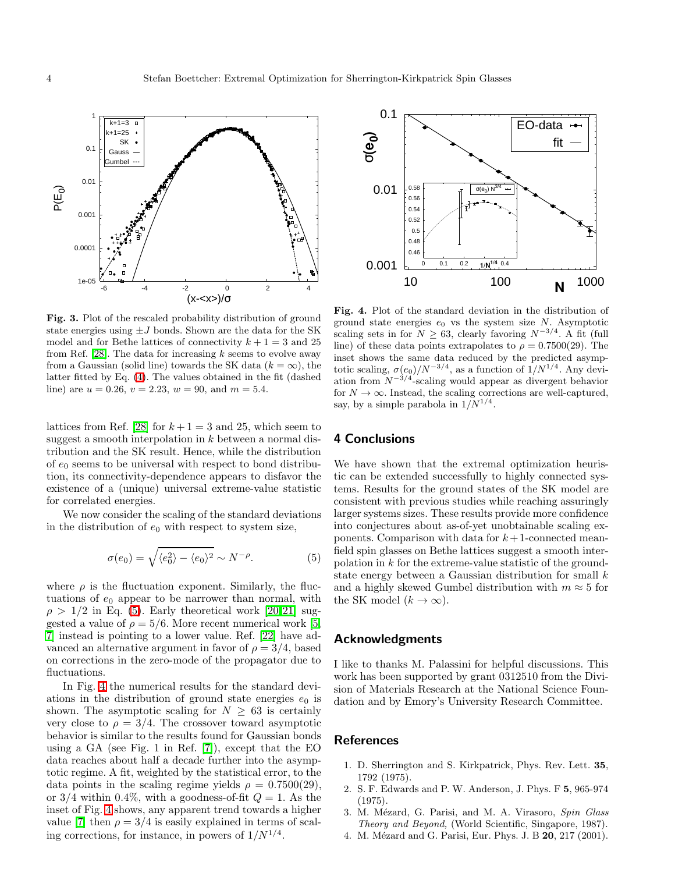

<span id="page-3-5"></span>Fig. 3. Plot of the rescaled probability distribution of ground state energies using  $\pm J$  bonds. Shown are the data for the SK model and for Bethe lattices of connectivity  $k + 1 = 3$  and 25 from Ref. [\[28\]](#page-4-21). The data for increasing  $k$  seems to evolve away from a Gaussian (solid line) towards the SK data  $(k = \infty)$ , the latter fitted by Eq. [\(4\)](#page-2-2). The values obtained in the fit (dashed line) are  $u = 0.26$ ,  $v = 2.23$ ,  $w = 90$ , and  $m = 5.4$ .

lattices from Ref. [\[28\]](#page-4-21) for  $k+1=3$  and 25, which seem to suggest a smooth interpolation in k between a normal distribution and the SK result. Hence, while the distribution of  $e_0$  seems to be universal with respect to bond distribution, its connectivity-dependence appears to disfavor the existence of a (unique) universal extreme-value statistic for correlated energies.

We now consider the scaling of the standard deviations in the distribution of  $e_0$  with respect to system size,

$$
\sigma(e_0) = \sqrt{\langle e_0^2 \rangle - \langle e_0 \rangle^2} \sim N^{-\rho}.
$$
 (5)

<span id="page-3-4"></span>where  $\rho$  is the fluctuation exponent. Similarly, the fluctuations of  $e_0$  appear to be narrower than normal, with  $\rho > 1/2$  in Eq. [\(5\)](#page-3-4). Early theoretical work [\[20,](#page-4-15)[21\]](#page-4-16) suggested a value of  $\rho = 5/6$ . More recent numerical work [\[5,](#page-4-0) [7\]](#page-4-2) instead is pointing to a lower value. Ref. [\[22\]](#page-4-17) have advanced an alternative argument in favor of  $\rho = 3/4$ , based on corrections in the zero-mode of the propagator due to fluctuations.

In Fig. [4](#page-3-6) the numerical results for the standard deviations in the distribution of ground state energies  $e_0$  is shown. The asymptotic scaling for  $N \geq 63$  is certainly very close to  $\rho = 3/4$ . The crossover toward asymptotic behavior is similar to the results found for Gaussian bonds using a GA (see Fig. 1 in Ref. [\[7\]](#page-4-2)), except that the EO data reaches about half a decade further into the asymptotic regime. A fit, weighted by the statistical error, to the data points in the scaling regime yields  $\rho = 0.7500(29)$ , or  $3/4$  within 0.4%, with a goodness-of-fit  $Q = 1$ . As the inset of Fig. [4](#page-3-6) shows, any apparent trend towards a higher value [\[7\]](#page-4-2) then  $\rho = 3/4$  is easily explained in terms of scaling corrections, for instance, in powers of  $1/N^{1/4}$ .



<span id="page-3-6"></span>Fig. 4. Plot of the standard deviation in the distribution of ground state energies  $e_0$  vs the system size N. Asymptotic scaling sets in for  $N \geq 63$ , clearly favoring  $N^{-3/4}$ . A fit (full line) of these data points extrapolates to  $\rho = 0.7500(29)$ . The inset shows the same data reduced by the predicted asymptotic scaling,  $\sigma(e_0)/N^{-3/4}$ , as a function of  $1/N^{1/4}$ . Any deviation from  $N^{-3/4}$ -scaling would appear as divergent behavior for  $N \to \infty$ . Instead, the scaling corrections are well-captured, say, by a simple parabola in  $1/N^{1/4}$ .

#### 4 Conclusions

We have shown that the extremal optimization heuristic can be extended successfully to highly connected systems. Results for the ground states of the SK model are consistent with previous studies while reaching assuringly larger systems sizes. These results provide more confidence into conjectures about as-of-yet unobtainable scaling exponents. Comparison with data for  $k+1$ -connected meanfield spin glasses on Bethe lattices suggest a smooth interpolation in  $k$  for the extreme-value statistic of the groundstate energy between a Gaussian distribution for small  $k$ and a highly skewed Gumbel distribution with  $m \approx 5$  for the SK model  $(k \to \infty)$ .

#### Acknowledgments

I like to thanks M. Palassini for helpful discussions. This work has been supported by grant 0312510 from the Division of Materials Research at the National Science Foundation and by Emory's University Research Committee.

#### <span id="page-3-1"></span><span id="page-3-0"></span>**References**

- 1. D. Sherrington and S. Kirkpatrick, Phys. Rev. Lett. 35, 1792 (1975).
- 2. S. F. Edwards and P. W. Anderson, J. Phys. F 5, 965-974 (1975).
- <span id="page-3-2"></span>3. M. Mézard, G. Parisi, and M. A. Virasoro, Spin Glass Theory and Beyond, (World Scientific, Singapore, 1987).
- <span id="page-3-3"></span>4. M. Mézard and G. Parisi, Eur. Phys. J. B 20, 217 (2001).